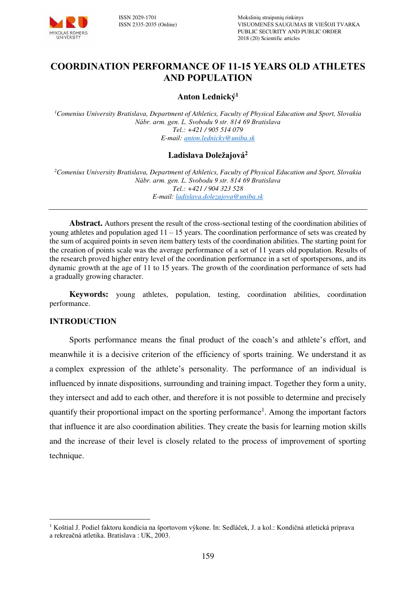

# **COORDINATION PERFORMANCE OF 11-15 YEARS OLD ATHLETES AND POPULATION**

## **Anton Lednický<sup>1</sup>**

*<sup>1</sup>Comenius University Bratislava, Department of Athletics, Faculty of Physical Education and Sport, Slovakia Nábr. arm. gen. L. Svobodu 9 str. 814 69 Bratislava Tel.: +421 / 905 514 079 E-mail[: anton.lednicky@uniba.sk](mailto:anton.lednicky@uniba.sk)* 

## **Ladislava Doležajová<sup>2</sup>**

*<sup>2</sup>Comenius University Bratislava, Department of Athletics, Faculty of Physical Education and Sport, Slovakia Nábr. arm. gen. L. Svobodu 9 str. 814 69 Bratislava Tel.: +421 / 904 323 528 E-mail[: ladislava.dolezajova@uniba.sk](mailto:ladislava.dolezajova@uniba.sk)* 

**Abstract.** Authors present the result of the cross-sectional testing of the coordination abilities of young athletes and population aged 11 – 15 years. The coordination performance of sets was created by the sum of acquired points in seven item battery tests of the coordination abilities. The starting point for the creation of points scale was the average performance of a set of 11 years old population. Results of the research proved higher entry level of the coordination performance in a set of sportspersons, and its dynamic growth at the age of 11 to 15 years. The growth of the coordination performance of sets had a gradually growing character.

**Keywords:** young athletes, population, testing, coordination abilities, coordination performance.

#### **INTRODUCTION**

 $\overline{a}$ 

Sports performance means the final product of the coach's and athlete's effort, and meanwhile it is a decisive criterion of the efficiency of sports training. We understand it as a complex expression of the athlete's personality. The performance of an individual is influenced by innate dispositions, surrounding and training impact. Together they form a unity, they intersect and add to each other, and therefore it is not possible to determine and precisely quantify their proportional impact on the sporting performance<sup>1</sup>. Among the important factors that influence it are also coordination abilities. They create the basis for learning motion skills and the increase of their level is closely related to the process of improvement of sporting technique.

<sup>1</sup> Koštial J. Podiel faktoru kondícia na športovom výkone. In: Sedláček, J. a kol.: Kondičná atletická príprava a rekreačná atletika. Bratislava : UK, 2003.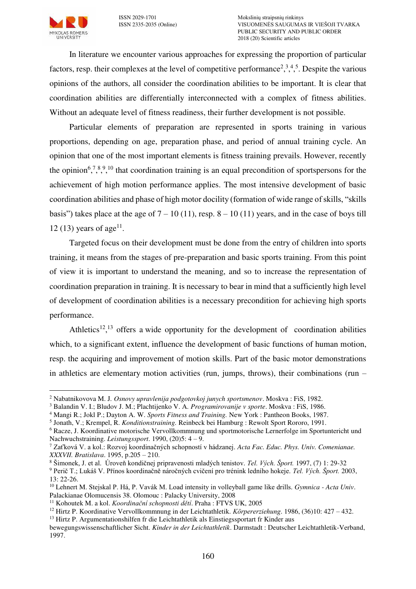In literature we encounter various approaches for expressing the proportion of particular factors, resp. their complexes at the level of competitive performance<sup>2,3,4,5</sup>. Despite the various opinions of the authors, all consider the coordination abilities to be important. It is clear that coordination abilities are differentially interconnected with a complex of fitness abilities. Without an adequate level of fitness readiness, their further development is not possible.

Particular elements of preparation are represented in sports training in various proportions, depending on age, preparation phase, and period of annual training cycle. An opinion that one of the most important elements is fitness training prevails. However, recently the opinion<sup>6,7,8,9,10</sup> that coordination training is an equal precondition of sportspersons for the achievement of high motion performance applies. The most intensive development of basic coordination abilities and phase of high motor docility (formation of wide range of skills, "skills basis") takes place at the age of  $7 - 10 (11)$ , resp.  $8 - 10 (11)$  years, and in the case of boys till 12 (13) years of age<sup>11</sup>.

Targeted focus on their development must be done from the entry of children into sports training, it means from the stages of pre-preparation and basic sports training. From this point of view it is important to understand the meaning, and so to increase the representation of coordination preparation in training. It is necessary to bear in mind that a sufficiently high level of development of coordination abilities is a necessary precondition for achieving high sports performance.

Athletics<sup>12</sup>,<sup>13</sup> offers a wide opportunity for the development of coordination abilities which, to a significant extent, influence the development of basic functions of human motion, resp. the acquiring and improvement of motion skills. Part of the basic motor demonstrations in athletics are elementary motion activities (run, jumps, throws), their combinations (run –

 $\overline{a}$ 2 Nabatnikovova M. J*. Osnovy upravlenija podgotovkoj junych sportsmenov*. Moskva : FiS, 1982.

<sup>3</sup> Balandin V. I.; Bludov J. M.; Plachtijenko V. A. *Programirovanije v sporte*. Moskva : FiS, 1986.

<sup>4</sup> Mangi R.; Jokl P.; Dayton A. W. *Sports Fitness and Training.* New York : Pantheon Books, 1987.

<sup>5</sup> Jonath, V.; Krempel, R. *Konditionstraining.* Reinbeck bei Hamburg : Rewolt Sport Rororo, 1991.

<sup>&</sup>lt;sup>6</sup> Racze, J. Koordinative motorische Vervollkommnung und sportmotorische Lernerfolge im Sportuntericht und Nachwuchstraining. *Leistungssport*. 1990, (20)5: 4 – 9.

<sup>7</sup> Zaťková V. a kol.: Rozvoj koordinačných schopností v hádzanej. *Acta Fac. Educ. Phys. Univ. Comenianae. XXXVII. Bratislava*. 1995, p.205 – 210.

<sup>8</sup> Šimonek, J. et al. Úroveň kondičnej pripravenosti mladých tenistov. *Tel. Vých. Šport.* 1997, (7) 1: 29-32

<sup>9</sup> Perič T.; Lukáš V. Přínos koordinačně náročných cvičení pro trénink ledního hokeje. *Tel. Vých. Šport.* 2003, 13: 22-26.

<sup>10</sup> Lehnert M. Stejskal P. Há, P. Vavák M. Load intensity in volleyball game like drills. *Gymnica - Acta Univ*. Palackianae Olomucensis 38. Olomouc : Palacky University, 2008

<sup>11</sup> Kohoutek M. a kol. *Koordinační schopnosti dětí*. Praha : FTVS UK, 2005

<sup>12</sup> Hirtz P. Koordinative Vervollkommnung in der Leichtathletik. *Körpererziehung*. 1986, (36)10: 427 – 432.

<sup>&</sup>lt;sup>13</sup> Hirtz P. Argumentationshilfen fr die Leichtathletik als Einstiegssportart fr Kinder aus

bewegungswissenschaftlicher Sicht. *Kinder in der Leichtathletik*. Darmstadt : Deutscher Leichtathletik-Verband, 1997.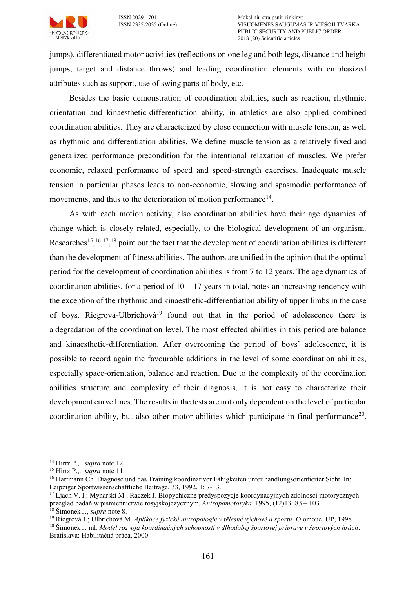

jumps), differentiated motor activities (reflections on one leg and both legs, distance and height jumps, target and distance throws) and leading coordination elements with emphasized attributes such as support, use of swing parts of body, etc.

Besides the basic demonstration of coordination abilities, such as reaction, rhythmic, orientation and kinaesthetic-differentiation ability, in athletics are also applied combined coordination abilities. They are characterized by close connection with muscle tension, as well as rhythmic and differentiation abilities. We define muscle tension as a relatively fixed and generalized performance precondition for the intentional relaxation of muscles. We prefer economic, relaxed performance of speed and speed-strength exercises. Inadequate muscle tension in particular phases leads to non-economic, slowing and spasmodic performance of movements, and thus to the deterioration of motion performance<sup>14</sup>.

As with each motion activity, also coordination abilities have their age dynamics of change which is closely related, especially, to the biological development of an organism. Researches<sup>15, 16</sup>, 17, <sup>18</sup> point out the fact that the development of coordination abilities is different than the development of fitness abilities. The authors are unified in the opinion that the optimal period for the development of coordination abilities is from 7 to 12 years. The age dynamics of coordination abilities, for a period of  $10 - 17$  years in total, notes an increasing tendency with the exception of the rhythmic and kinaesthetic-differentiation ability of upper limbs in the case of boys. Riegrová-Ulbrichová<sup>19</sup> found out that in the period of adolescence there is a degradation of the coordination level. The most effected abilities in this period are balance and kinaesthetic-differentiation. After overcoming the period of boys' adolescence, it is possible to record again the favourable additions in the level of some coordination abilities, especially space-orientation, balance and reaction. Due to the complexity of the coordination abilities structure and complexity of their diagnosis, it is not easy to characterize their development curve lines. The results in the tests are not only dependent on the level of particular coordination ability, but also other motor abilities which participate in final performance<sup>20</sup>.

 $\overline{a}$ 

<sup>14</sup> Hirtz P.,. *supra* note 12

<sup>15</sup> Hirtz P.,. *supra* note 11.

<sup>16</sup> Hartmann Ch. Diagnose und das Training koordinativer Fähigkeiten unter handlungsorientierter Sicht. In: Leipziger Sportwissenschaftliche Beitrage, 33, 1992, 1: 7-13.

<sup>17</sup> Ljach V. I.; Mynarski M.; Raczek J. Biopychiczne predyspozycje koordynacyjnych zdolnosci motorycznych – przeglad badaň w pismiennictwie rosyjskojezycznym. *Antropomotoryka.* 1995, (12)13: 83 – 103

<sup>18</sup> Šimonek J., *supra* note 8.

<sup>19</sup> Riegrová J.; Ulbrichová M. *Aplikace fyzické antropologie v tělesné výchově a sportu*. Olomouc. UP, 1998

<sup>20</sup> Šimonek J. ml*. Model rozvoja koordinačných schopností v dlhodobej športovej príprave v športových hrách*. Bratislava: Habilitačná práca, 2000.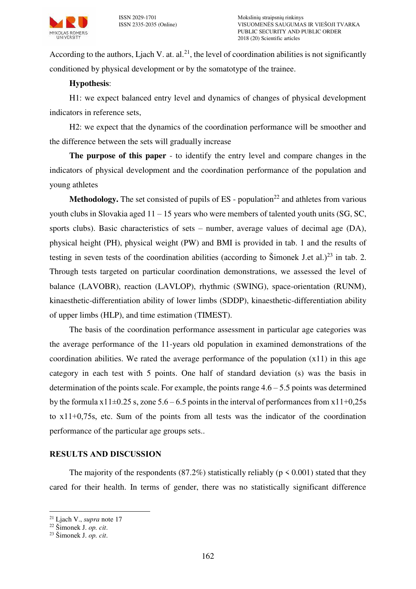

According to the authors, Ljach V. at. al.<sup>21</sup>, the level of coordination abilities is not significantly conditioned by physical development or by the somatotype of the trainee.

## **Hypothesis**:

H1: we expect balanced entry level and dynamics of changes of physical development indicators in reference sets,

H2: we expect that the dynamics of the coordination performance will be smoother and the difference between the sets will gradually increase

**The purpose of this paper** - to identify the entry level and compare changes in the indicators of physical development and the coordination performance of the population and young athletes

**Methodology.** The set consisted of pupils of  $ES$  - population<sup>22</sup> and athletes from various youth clubs in Slovakia aged  $11 - 15$  years who were members of talented youth units (SG, SC, sports clubs). Basic characteristics of sets – number, average values of decimal age (DA), physical height (PH), physical weight (PW) and BMI is provided in tab. 1 and the results of testing in seven tests of the coordination abilities (according to Simonek J.et al.)<sup>23</sup> in tab. 2. Through tests targeted on particular coordination demonstrations, we assessed the level of balance (LAVOBR), reaction (LAVLOP), rhythmic (SWING), space-orientation (RUNM), kinaesthetic-differentiation ability of lower limbs (SDDP), kinaesthetic-differentiation ability of upper limbs (HLP), and time estimation (TIMEST).

The basis of the coordination performance assessment in particular age categories was the average performance of the 11-years old population in examined demonstrations of the coordination abilities. We rated the average performance of the population  $(x11)$  in this age category in each test with 5 points. One half of standard deviation (s) was the basis in determination of the points scale. For example, the points range  $4.6 - 5.5$  points was determined by the formula  $x11\pm0.25$  s, zone  $5.6 - 6.5$  points in the interval of performances from  $x11+0.25s$ to х11+0,75s, etc. Sum of the points from all tests was the indicator of the coordination performance of the particular age groups sets..

#### **RESULTS AND DISCUSSION**

The majority of the respondents (87.2%) statistically reliably ( $p \le 0.001$ ) stated that they cared for their health. In terms of gender, there was no statistically significant difference

 $\overline{a}$ 

<sup>21</sup> Ljach V., *supra* note 17

<sup>22</sup> Šimonek J. *op. cit*.

<sup>23</sup> Šimonek J. *op. cit*.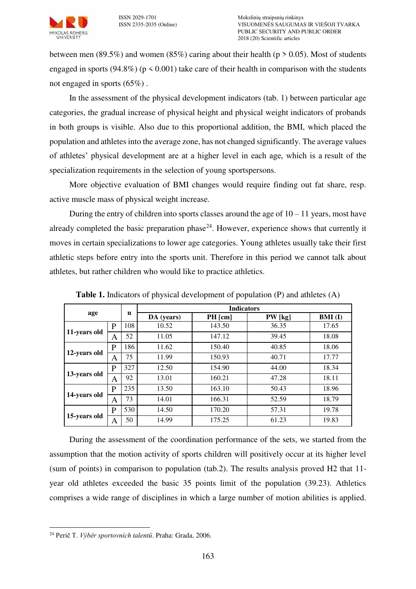between men (89.5%) and women (85%) caring about their health ( $p > 0.05$ ). Most of students engaged in sports (94.8%) ( $p \le 0.001$ ) take care of their health in comparison with the students not engaged in sports (65%) .

In the assessment of the physical development indicators (tab. 1) between particular age categories, the gradual increase of physical height and physical weight indicators of probands in both groups is visible. Also due to this proportional addition, the BMI, which placed the population and athletes into the average zone, has not changed significantly. The average values of athletes' physical development are at a higher level in each age, which is a result of the specialization requirements in the selection of young sportspersons.

More objective evaluation of BMI changes would require finding out fat share, resp. active muscle mass of physical weight increase.

During the entry of children into sports classes around the age of  $10 - 11$  years, most have already completed the basic preparation phase<sup>24</sup>. However, experience shows that currently it moves in certain specializations to lower age categories. Young athletes usually take their first athletic steps before entry into the sports unit. Therefore in this period we cannot talk about athletes, but rather children who would like to practice athletics.

| age          |   | n   | <b>Indicators</b> |         |        |           |  |  |
|--------------|---|-----|-------------------|---------|--------|-----------|--|--|
|              |   |     | DA (years)        | PH [cm] | PW[kg] | $BMI$ (I) |  |  |
| 11-years old | P | 108 | 10.52             | 143.50  | 36.35  | 17.65     |  |  |
|              | A | 52  | 11.05             | 147.12  | 39.45  | 18.08     |  |  |
| 12-years old | P | 186 | 11.62             | 150.40  | 40.85  | 18.06     |  |  |
|              | A | 75  | 11.99             | 150.93  | 40.71  | 17.77     |  |  |
| 13-years old | P | 327 | 12.50             | 154.90  | 44.00  | 18.34     |  |  |
|              | A | 92  | 13.01             | 160.21  | 47.28  | 18.11     |  |  |
| 14-years old | P | 235 | 13.50             | 163.10  | 50.43  | 18.96     |  |  |
|              | A | 73  | 14.01             | 166.31  | 52.59  | 18.79     |  |  |
| 15-years old | P | 530 | 14.50             | 170.20  | 57.31  | 19.78     |  |  |
|              | A | 50  | 14.99             | 175.25  | 61.23  | 19.83     |  |  |

**Table 1.** Indicators of physical development of population (P) and athletes (A)

During the assessment of the coordination performance of the sets, we started from the assumption that the motion activity of sports children will positively occur at its higher level (sum of points) in comparison to population (tab.2). The results analysis proved H2 that 11 year old athletes exceeded the basic 35 points limit of the population (39.23). Athletics comprises a wide range of disciplines in which a large number of motion abilities is applied.

 $\overline{a}$ <sup>24</sup> Perič T. *Výběr sportovních talentů*. Praha: Grada, 2006.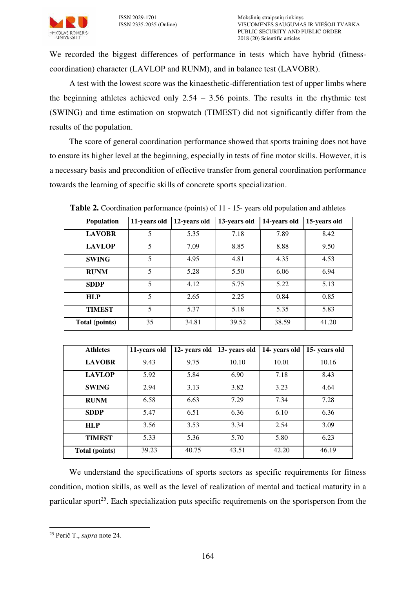

We recorded the biggest differences of performance in tests which have hybrid (fitnesscoordination) character (LAVLOP and RUNM), and in balance test (LAVOBR).

A test with the lowest score was the kinaesthetic-differentiation test of upper limbs where the beginning athletes achieved only  $2.54 - 3.56$  points. The results in the rhythmic test (SWING) and time estimation on stopwatch (TIMEST) did not significantly differ from the results of the population.

The score of general coordination performance showed that sports training does not have to ensure its higher level at the beginning, especially in tests of fine motor skills. However, it is a necessary basis and precondition of effective transfer from general coordination performance towards the learning of specific skills of concrete sports specialization.

| Population            | 11-years old | 12-years old | 13-years old | 14-years old | 15-years old |
|-----------------------|--------------|--------------|--------------|--------------|--------------|
| <b>LAVOBR</b>         | 5            | 5.35         | 7.18         | 7.89         | 8.42         |
| <b>LAVLOP</b>         | 5            | 7.09         | 8.85         | 8.88         | 9.50         |
| <b>SWING</b>          | 5            | 4.95         | 4.81         | 4.35         | 4.53         |
| <b>RUNM</b>           | 5            | 5.28         | 5.50         | 6.06         | 6.94         |
| <b>SDDP</b>           | 5            | 4.12         | 5.75         | 5.22         | 5.13         |
| <b>HLP</b>            | 5            | 2.65         | 2.25         | 0.84         | 0.85         |
| <b>TIMEST</b>         | 5            | 5.37         | 5.18         | 5.35         | 5.83         |
| <b>Total (points)</b> | 35           | 34.81        | 39.52        | 38.59        | 41.20        |

**Table 2.** Coordination performance (points) of 11 - 15- years old population and athletes

| <b>Athletes</b> | 11-years old | 12-years old | 13-years old | 14- years old | 15-years old |
|-----------------|--------------|--------------|--------------|---------------|--------------|
| <b>LAVOBR</b>   | 9.43         | 9.75         | 10.10        | 10.01         | 10.16        |
| <b>LAVLOP</b>   | 5.92         | 5.84         | 6.90         | 7.18          | 8.43         |
| <b>SWING</b>    | 2.94         | 3.13         | 3.82         | 3.23          | 4.64         |
| <b>RUNM</b>     | 6.58         | 6.63         | 7.29         | 7.34          | 7.28         |
| <b>SDDP</b>     | 5.47         | 6.51         | 6.36         | 6.10          | 6.36         |
| <b>HLP</b>      | 3.56         | 3.53         | 3.34         | 2.54          | 3.09         |
| <b>TIMEST</b>   | 5.33         | 5.36         | 5.70         | 5.80          | 6.23         |
| Total (points)  | 39.23        | 40.75        | 43.51        | 42.20         | 46.19        |

We understand the specifications of sports sectors as specific requirements for fitness condition, motion skills, as well as the level of realization of mental and tactical maturity in a particular sport $25$ . Each specialization puts specific requirements on the sportsperson from the

 $\overline{a}$ <sup>25</sup> Perič T., *supra* note 24.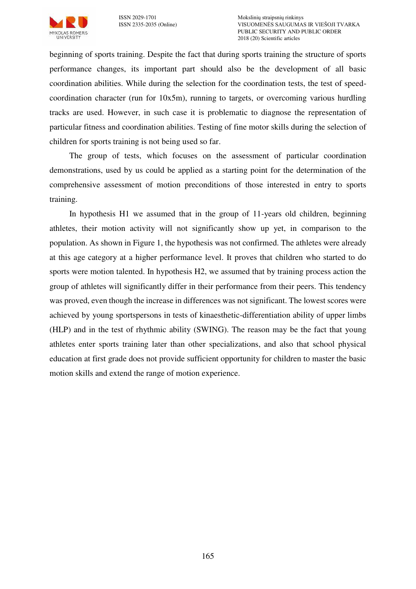

beginning of sports training. Despite the fact that during sports training the structure of sports performance changes, its important part should also be the development of all basic coordination abilities. While during the selection for the coordination tests, the test of speedcoordination character (run for 10x5m), running to targets, or overcoming various hurdling tracks are used. However, in such case it is problematic to diagnose the representation of particular fitness and coordination abilities. Testing of fine motor skills during the selection of children for sports training is not being used so far.

The group of tests, which focuses on the assessment of particular coordination demonstrations, used by us could be applied as a starting point for the determination of the comprehensive assessment of motion preconditions of those interested in entry to sports training.

In hypothesis H1 we assumed that in the group of 11-years old children, beginning athletes, their motion activity will not significantly show up yet, in comparison to the population. As shown in Figure 1, the hypothesis was not confirmed. The athletes were already at this age category at a higher performance level. It proves that children who started to do sports were motion talented. In hypothesis H2, we assumed that by training process action the group of athletes will significantly differ in their performance from their peers. This tendency was proved, even though the increase in differences was not significant. The lowest scores were achieved by young sportspersons in tests of kinaesthetic-differentiation ability of upper limbs (HLP) and in the test of rhythmic ability (SWING). The reason may be the fact that young athletes enter sports training later than other specializations, and also that school physical education at first grade does not provide sufficient opportunity for children to master the basic motion skills and extend the range of motion experience.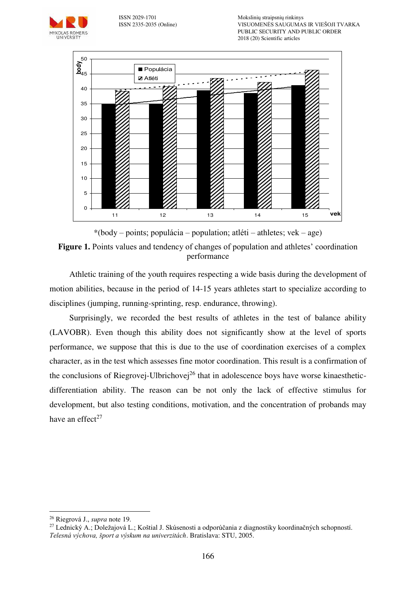

ISSN 2029-1701 Mokslinių straipsnių rinkinys ISSN 2335-2035 (Online) VISUOMENĖS SAUGUMAS IR VIEŠOJI TVARKA PUBLIC SECURITY AND PUBLIC ORDER 2018 (20) Scientific articles



\*(body – points; populácia – population; atléti – athletes; vek – age)

Figure 1. Points values and tendency of changes of population and athletes' coordination performance

Athletic training of the youth requires respecting a wide basis during the development of motion abilities, because in the period of 14-15 years athletes start to specialize according to disciplines (jumping, running-sprinting, resp. endurance, throwing).

Surprisingly, we recorded the best results of athletes in the test of balance ability (LAVOBR). Even though this ability does not significantly show at the level of sports performance, we suppose that this is due to the use of coordination exercises of a complex character, as in the test which assesses fine motor coordination. This result is a confirmation of the conclusions of Riegrovej-Ulbrichovej<sup>26</sup> that in adolescence boys have worse kinaestheticdifferentiation ability. The reason can be not only the lack of effective stimulus for development, but also testing conditions, motivation, and the concentration of probands may have an effect $27$ 

 $\overline{a}$ <sup>26</sup> Riegrová J., *supra* note 19.

<sup>27</sup> Lednický A.; Doležajová L.; Koštial J. Skúsenosti a odporúčania z diagnostiky koordinačných schopností. *Telesná výchova, šport a výskum na univerzitách*. Bratislava: STU, 2005.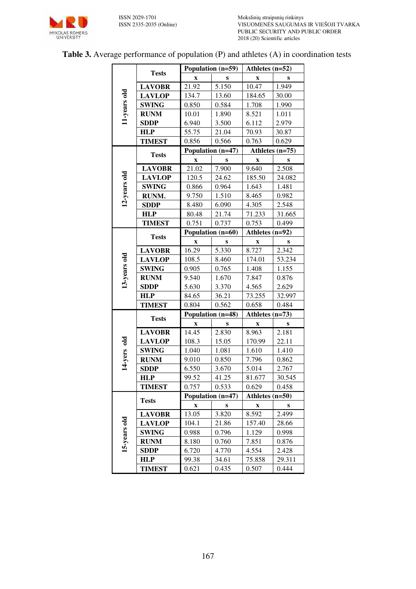

# **Table 3.** Average performance of population (P) and athletes (A) in coordination tests

|                |               | Population (n=59) |                   | Athletes $(n=52)$ |                   |
|----------------|---------------|-------------------|-------------------|-------------------|-------------------|
| 11-years old   | <b>Tests</b>  | $\mathbf X$       | S                 | $\mathbf X$       | s                 |
|                | <b>LAVOBR</b> | 21.92             | 5.150             | 10.47             | 1.949             |
|                | <b>LAVLOP</b> | 134.7             | 13.60             | 184.65            | 30.00             |
|                | <b>SWING</b>  | 0.850             | 0.584             | 1.708             | 1.990             |
|                | <b>RUNM</b>   | 10.01             | 1.890             | 8.521             | 1.011             |
|                | <b>SDDP</b>   | 6.940             | 3.500             | 6.112             | 2.979             |
|                | <b>HLP</b>    | 55.75             | 21.04             | 70.93             | 30.87             |
|                | <b>TIMEST</b> | 0.856             | 0.566             | 0.763             | 0.629             |
|                | <b>Tests</b>  | Population (n=47) |                   |                   | Athletes $(n=75)$ |
|                |               | $\mathbf X$       | S                 | X                 | S                 |
|                | <b>LAVOBR</b> | 21.02             | 7.900             | 9.640             | 2.508             |
| 12-years old   | <b>LAVLOP</b> | 120.5             | 24.62             | 185.50            | 24.082            |
|                | <b>SWING</b>  | 0.866             | 0.964             | 1.643             | 1.481             |
|                | RUNM.         | 9.750             | 1.510             | 8.465             | 0.982             |
|                | <b>SDDP</b>   | 8.480             | 6.090             | 4.305             | 2.548             |
|                | <b>HLP</b>    | 80.48             | 21.74             | 71.233            | 31.665            |
|                | <b>TIMEST</b> | 0.751             | 0.737             | 0.753             | 0.499             |
|                | <b>Tests</b>  | Population (n=60) |                   | Athletes $(n=92)$ |                   |
|                |               | $\mathbf X$       | S                 | $\mathbf X$       | S                 |
|                | <b>LAVOBR</b> | 16.29             | 5.330             | 8.727             | 2.342             |
|                | <b>LAVLOP</b> | 108.5             | 8.460             | 174.01            | 53.234            |
| 13-years old   | <b>SWING</b>  | 0.905             | 0.765             | 1.408             | 1.155             |
|                | <b>RUNM</b>   | 9.540             | 1.670             | 7.847             | 0.876             |
|                | <b>SDDP</b>   | 5.630             | 3.370             | 4.565             | 2.629             |
|                | <b>HLP</b>    | 84.65             | 36.21             | 73.255            | 32.997            |
|                | <b>TIMEST</b> | 0.804             | 0.562             | 0.658             | 0.484             |
|                | <b>Tests</b>  | Population (n=48) |                   | Athletes $(n=73)$ |                   |
|                |               | $\mathbf X$       | ${\bf S}$         | $\mathbf X$       | S                 |
|                | <b>LAVOBR</b> | 14.45             | 2.830             | 8.963             | 2.181             |
|                | <b>LAVLOP</b> | 108.3             | 15.05             | 170.99            | 22.11             |
|                | <b>SWING</b>  | 1.040             | 1.081             | 1.610             | 1.410             |
| $14$ -yers old | <b>RUNM</b>   | 9.010             | 0.850             | 7.796             | 0.862             |
|                | <b>SDDP</b>   | 6.550             | 3.670             | 5.014             | 2.767             |
|                | HLP           | 99.52             | 41.25             | 81.677            | 30.545            |
|                | <b>TIMEST</b> | 0.757             | 0.533             | 0.629             | 0.458             |
| 15-years old   | <b>Tests</b>  |                   | Population (n=47) | Athletes $(n=50)$ |                   |
|                |               | $\mathbf{X}$      | s                 | $\mathbf x$       | S                 |
|                | <b>LAVOBR</b> | 13.05             | 3.820             | 8.592             | 2.499             |
|                | <b>LAVLOP</b> | 104.1             | 21.86             | 157.40            | 28.66             |
|                | <b>SWING</b>  | 0.988             | 0.796             | 1.129             | 0.998             |
|                | <b>RUNM</b>   | 8.180             | 0.760             | 7.851             | 0.876             |
|                | <b>SDDP</b>   | 6.720             | 4.770             | 4.554             | 2.428             |
|                | <b>HLP</b>    | 99.38             | 34.61             | 75.858            | 29.311            |
|                | <b>TIMEST</b> | 0.621             | 0.435             | 0.507             | 0.444             |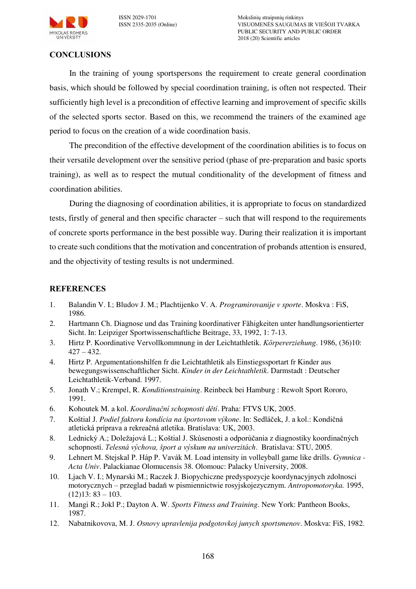

ISSN 2029-1701 Mokslinių straipsnių rinkinys VISUOMENĖS SAUGUMAS IR VIEŠOJI TVARKA PUBLIC SECURITY AND PUBLIC ORDER 2018 (20) Scientific articles

### **CONCLUSIONS**

In the training of young sportspersons the requirement to create general coordination basis, which should be followed by special coordination training, is often not respected. Their sufficiently high level is a precondition of effective learning and improvement of specific skills of the selected sports sector. Based on this, we recommend the trainers of the examined age period to focus on the creation of a wide coordination basis.

The precondition of the effective development of the coordination abilities is to focus on their versatile development over the sensitive period (phase of pre-preparation and basic sports training), as well as to respect the mutual conditionality of the development of fitness and coordination abilities.

During the diagnosing of coordination abilities, it is appropriate to focus on standardized tests, firstly of general and then specific character – such that will respond to the requirements of concrete sports performance in the best possible way. During their realization it is important to create such conditions that the motivation and concentration of probands attention is ensured, and the objectivity of testing results is not undermined.

#### **REFERENCES**

- 1. Balandin V. I.; Bludov J. M.; Plachtijenko V. A. *Programirovanije v sporte*. Moskva : FiS, 1986.
- 2. Hartmann Ch. Diagnose und das Training koordinativer Fähigkeiten unter handlungsorientierter Sicht. In: Leipziger Sportwissenschaftliche Beitrage, 33, 1992, 1: 7-13.
- 3. Hirtz P. Koordinative Vervollkommnung in der Leichtathletik. *Körpererziehung*. 1986, (36)10:  $427 - 432$ .
- 4. Hirtz P. Argumentationshilfen fr die Leichtathletik als Einstiegssportart fr Kinder aus bewegungswissenschaftlicher Sicht. *Kinder in der Leichtathletik*. Darmstadt : Deutscher Leichtathletik-Verband. 1997.
- 5. Jonath V.; Krempel, R. *Konditionstraining*. Reinbeck bei Hamburg : Rewolt Sport Rororo, 1991.
- 6. Kohoutek M. a kol. *Koordinační schopnosti dětí*. Praha: FTVS UK, 2005.
- 7. Koštial J. *Podiel faktoru kondícia na športovom výkone*. In: Sedláček, J. a kol.: Kondičná atletická príprava a rekreačná atletika. Bratislava: UK, 2003.
- 8. Lednický A.; Doležajová L.; Koštial J. Skúsenosti a odporúčania z diagnostiky koordinačných schopností. *Telesná výchova, šport a výskum na univerzitách*. Bratislava: STU, 2005.
- 9. Lehnert M. Stejskal P. Háp P. Vavák M. Load intensity in volleyball game like drills. *Gymnica Acta Univ*. Palackianae Olomucensis 38. Olomouc: Palacky University, 2008.
- 10. Ljach V. I.; Mynarski M.; Raczek J. Biopychiczne predyspozycje koordynacyjnych zdolnosci motorycznych – przeglad badaň w pismiennictwie rosyjskojezycznym. *Antropomotoryka.* 1995,  $(12)13: 83 - 103.$
- 11. Mangi R.; Jokl P.; Dayton A. W. *Sports Fitness and Training*. New York: Pantheon Books, 1987.
- 12. Nabatnikovova, M. J. *Osnovy upravlenija podgotovkoj junych sportsmenov*. Moskva: FiS, 1982.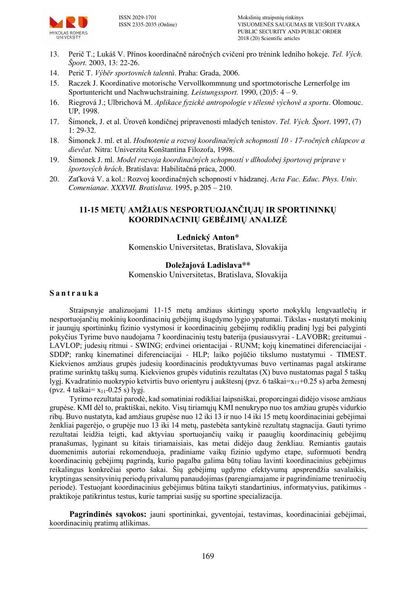

- 13. Perič T.; Lukáš V. Přínos koordinačně náročných cvičení pro trénink ledního hokeje. *Tel. Vých. Šport.* 2003, 13: 22-26.
- 14. Perič T. *Výběr sportovních talentů*. Praha: Grada, 2006.
- 15. Raczek J. Koordinative motorische Vervollkommnung und sportmotorische Lernerfolge im Sportuntericht und Nachwuchstraining*. Leistungssport.* 1990, (20)5: 4 – 9.
- 16. Riegrová J.; Ulbrichová M. *Aplikace fyzické antropologie v tělesné výchově a sportu*. Olomouc. UP, 1998.
- 17. Šimonek, J. et al. Úroveň kondičnej pripravenosti mladých tenistov. *Tel. Vých. Šport*. 1997, (7) 1: 29-32.
- 18. Šimonek J. ml. et al. *Hodnotenie a rozvoj koordinačných schopností 10 17-ročných chlapcov a dievčat.* Nitra: Univerzita Konštantína Filozofa, 1998.
- 19. Šimonek J. ml. *Model rozvoja koordinačných schopností v dlhodobej športovej príprave v športových hrách*. Bratislava: Habilitačná práca, 2000.
- 20. Zaťková V. a kol.: Rozvoj koordinačných schopností v hádzanej. *Acta Fac. Educ. Phys. Univ. Comenianae. XXXVII. Bratislava*. 1995, p.205 – 210.

## **11-15 METŲ AMŽIAUS NESPORTUOJANČIŲJŲ IR SPORTININKŲ KOORDINACINIŲ GEBĖJIMŲ ANALIZĖ**

### **Lednický Anton\***

Komenskio Universitetas, Bratislava, Slovakija

### **Doležajová Ladislava\*\***

Komenskio Universitetas, Bratislava, Slovakija

#### **S a n t r a u k a**

Straipsnyje analizuojami 11-15 metų amžiaus skirtingų sporto mokyklų lengvaatlečių ir nesportuojančių mokinių koordinacinių gebėjimų išugdymo lygio ypatumai. Tikslas **-** nustatyti mokinių ir jaunųjų sportininkų fizinio vystymosi ir koordinacinių gebėjimų rodiklių pradinį lygį bei palyginti pokyčius Tyrime buvo naudojama 7 koordinacinių testų baterija (pusiausvyrai - LAVOBR; greitumui - LAVLOP; judesių ritmui - SWING; erdvinei orientacijai - RUNM; kojų kinematinei diferenciacijai - SDDP; rankų kinematinei diferenciacijai - HLP; laiko pojūčio tikslumo nustatymui - TIMEST. Kiekvienos amžiaus grupės judesių koordinacinis produktyvumas buvo vertinamas pagal atskirame pratime surinktų taškų sumą. Kiekvienos grupės vidutinis rezultatas (X) buvo nustatomas pagal 5 taškų lygį. Kvadratinio nuokrypio ketvirtis buvo orientyru į aukštesnį (pvz. 6 taškai= $x_{11}+0.25$  s) arba žemesnį (pvz. 4 taškai= x11-0.25 s) lygį.

Tyrimo rezultatai parodė, kad somatiniai rodikliai laipsniškai, proporcingai didėjo visose amžiaus grupėse. KMI dėl to, praktiškai, nekito. Visų tiriamųjų KMI nenukrypo nuo tos amžiau grupės vidurkio ribų. Buvo nustatyta, kad amžiaus grupėse nuo 12 iki 13 ir nuo 14 iki 15 metų koordinaciniai gebėjimai ženkliai pagerėjo, o grupėje nuo 13 iki 14 metų, pastebėta santykinė rezultatų stagnacija. Gauti tyrimo rezultatai leidžia teigti, kad aktyviau sportuojančių vaikų ir paauglių koordinacinių gebėjimų pranašumas, lyginant su kitais tiriamaisiais, kas metai didėjo daug ženkliau. Remiantis gautais duomenimis autoriai rekomenduoja, pradiniame vaikų fizinio ugdymo etape, suformuoti bendrą koordinacinių gebėjimų pagrindą, kurio pagalba galima būtų toliau lavinti koordinacinius gebėjimus reikalingus konkrečiai sporto šakai. Šių gebėjimų ugdymo efektyvumą apsprendžia savalaikis, kryptingas sensityvinių periodų privalumų panaudojimas (parengiamajame ir pagrindiniame treniruočių periode). Testuojant koordinacinius gebėjimus būtina taikyti standartinius, informatyvius, patikimus praktikoje patikrintus testus, kurie tampriai susiję su sportine specializacija.

**Pagrindinės sąvokos:** jauni sportininkai, gyventojai, testavimas, koordinaciniai gebėjimai, koordinacinių pratimų atlikimas.